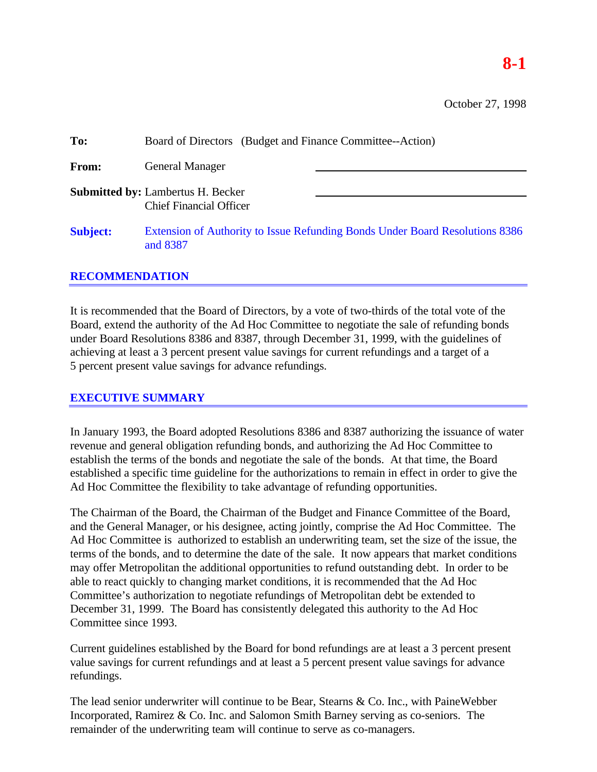## **8-1**

October 27, 1998

| To:             | Board of Directors (Budget and Finance Committee--Action)                                |
|-----------------|------------------------------------------------------------------------------------------|
| From:           | <b>General Manager</b>                                                                   |
|                 | <b>Submitted by: Lambertus H. Becker</b><br><b>Chief Financial Officer</b>               |
| <b>Subject:</b> | Extension of Authority to Issue Refunding Bonds Under Board Resolutions 8386<br>and 8387 |

## **RECOMMENDATION**

It is recommended that the Board of Directors, by a vote of two-thirds of the total vote of the Board, extend the authority of the Ad Hoc Committee to negotiate the sale of refunding bonds under Board Resolutions 8386 and 8387, through December 31, 1999, with the guidelines of achieving at least a 3 percent present value savings for current refundings and a target of a 5 percent present value savings for advance refundings.

## **EXECUTIVE SUMMARY**

In January 1993, the Board adopted Resolutions 8386 and 8387 authorizing the issuance of water revenue and general obligation refunding bonds, and authorizing the Ad Hoc Committee to establish the terms of the bonds and negotiate the sale of the bonds. At that time, the Board established a specific time guideline for the authorizations to remain in effect in order to give the Ad Hoc Committee the flexibility to take advantage of refunding opportunities.

The Chairman of the Board, the Chairman of the Budget and Finance Committee of the Board, and the General Manager, or his designee, acting jointly, comprise the Ad Hoc Committee. The Ad Hoc Committee is authorized to establish an underwriting team, set the size of the issue, the terms of the bonds, and to determine the date of the sale. It now appears that market conditions may offer Metropolitan the additional opportunities to refund outstanding debt. In order to be able to react quickly to changing market conditions, it is recommended that the Ad Hoc Committee's authorization to negotiate refundings of Metropolitan debt be extended to December 31, 1999. The Board has consistently delegated this authority to the Ad Hoc Committee since 1993.

Current guidelines established by the Board for bond refundings are at least a 3 percent present value savings for current refundings and at least a 5 percent present value savings for advance refundings.

The lead senior underwriter will continue to be Bear, Stearns & Co. Inc., with PaineWebber Incorporated, Ramirez & Co. Inc. and Salomon Smith Barney serving as co-seniors. The remainder of the underwriting team will continue to serve as co-managers.